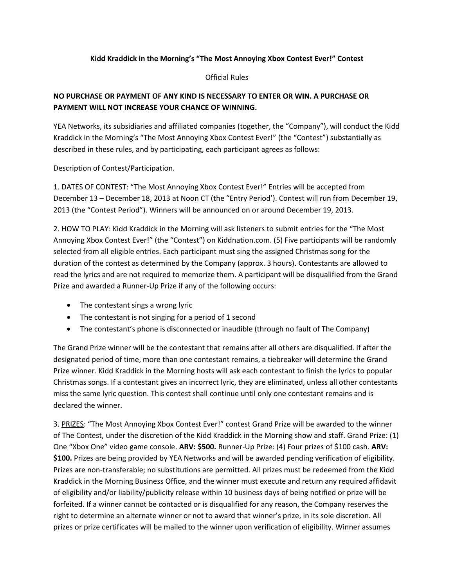## **Kidd Kraddick in the Morning's "The Most Annoying Xbox Contest Ever!" Contest**

## Official Rules

## **NO PURCHASE OR PAYMENT OF ANY KIND IS NECESSARY TO ENTER OR WIN. A PURCHASE OR PAYMENT WILL NOT INCREASE YOUR CHANCE OF WINNING.**

YEA Networks, its subsidiaries and affiliated companies (together, the "Company"), will conduct the Kidd Kraddick in the Morning's "The Most Annoying Xbox Contest Ever!" (the "Contest") substantially as described in these rules, and by participating, each participant agrees as follows:

## Description of Contest/Participation.

1. DATES OF CONTEST: "The Most Annoying Xbox Contest Ever!" Entries will be accepted from December 13 – December 18, 2013 at Noon CT (the "Entry Period'). Contest will run from December 19, 2013 (the "Contest Period"). Winners will be announced on or around December 19, 2013.

2. HOW TO PLAY: Kidd Kraddick in the Morning will ask listeners to submit entries for the "The Most Annoying Xbox Contest Ever!" (the "Contest") on Kiddnation.com. (5) Five participants will be randomly selected from all eligible entries. Each participant must sing the assigned Christmas song for the duration of the contest as determined by the Company (approx. 3 hours). Contestants are allowed to read the lyrics and are not required to memorize them. A participant will be disqualified from the Grand Prize and awarded a Runner-Up Prize if any of the following occurs:

- The contestant sings a wrong lyric
- The contestant is not singing for a period of 1 second
- The contestant's phone is disconnected or inaudible (through no fault of The Company)

The Grand Prize winner will be the contestant that remains after all others are disqualified. If after the designated period of time, more than one contestant remains, a tiebreaker will determine the Grand Prize winner. Kidd Kraddick in the Morning hosts will ask each contestant to finish the lyrics to popular Christmas songs. If a contestant gives an incorrect lyric, they are eliminated, unless all other contestants miss the same lyric question. This contest shall continue until only one contestant remains and is declared the winner.

3. PRIZES: "The Most Annoying Xbox Contest Ever!" contest Grand Prize will be awarded to the winner of The Contest, under the discretion of the Kidd Kraddick in the Morning show and staff. Grand Prize: (1) One "Xbox One" video game console. **ARV: \$500.** Runner-Up Prize: (4) Four prizes of \$100 cash. **ARV: \$100.** Prizes are being provided by YEA Networks and will be awarded pending verification of eligibility. Prizes are non-transferable; no substitutions are permitted. All prizes must be redeemed from the Kidd Kraddick in the Morning Business Office, and the winner must execute and return any required affidavit of eligibility and/or liability/publicity release within 10 business days of being notified or prize will be forfeited. If a winner cannot be contacted or is disqualified for any reason, the Company reserves the right to determine an alternate winner or not to award that winner's prize, in its sole discretion. All prizes or prize certificates will be mailed to the winner upon verification of eligibility. Winner assumes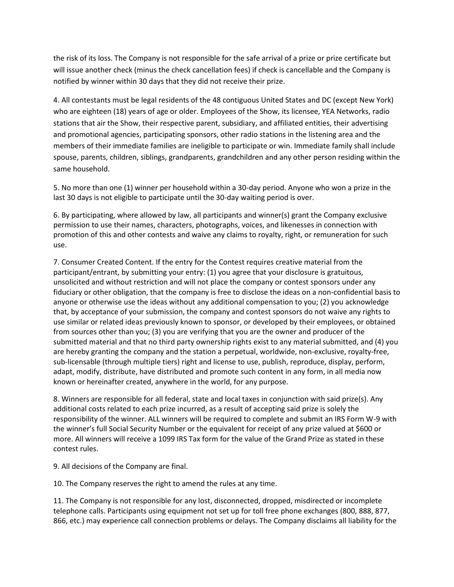the risk of its loss. The Company is not responsible for the safe arrival of a prize or prize certificate but will issue another check (minus the check cancellation fees) if check is cancellable and the Company is notified by winner within 30 days that they did not receive their prize.

4. All contestants must be legal residents of the 48 contiguous United States and DC (except New York) who are eighteen (18) years of age or older. Employees of the Show, its licensee, YEA Networks, radio stations that air the Show, their respective parent, subsidiary, and affiliated entities, their advertising and promotional agencies, participating sponsors, other radio stations in the listening area and the members of their immediate families are ineligible to participate or win. Immediate family shall include spouse, parents, children, siblings, grandparents, grandchildren and any other person residing within the same household.

5. No more than one (1) winner per household within a 30-day period. Anyone who won a prize in the last 30 days is not eligible to participate until the 30-day waiting period is over.

6. By participating, where allowed by law, all participants and winner(s) grant the Company exclusive permission to use their names, characters, photographs, voices, and likenesses in connection with promotion of this and other contests and waive any claims to royalty, right, or remuneration for such use.

7. Consumer Created Content. If the entry for the Contest requires creative material from the participant/entrant, by submitting your entry: (1) you agree that your disclosure is gratuitous, unsolicited and without restriction and will not place the company or contest sponsors under any fiduciary or other obligation, that the company is free to disclose the ideas on a non-confidential basis to anyone or otherwise use the ideas without any additional compensation to you; (2) you acknowledge that, by acceptance of your submission, the company and contest sponsors do not waive any rights to use similar or related ideas previously known to sponsor, or developed by their employees, or obtained from sources other than you; (3) you are verifying that you are the owner and producer of the submitted material and that no third party ownership rights exist to any material submitted, and (4) you are hereby granting the company and the station a perpetual, worldwide, non-exclusive, royalty-free, sub-licensable (through multiple tiers) right and license to use, publish, reproduce, display, perform, adapt, modify, distribute, have distributed and promote such content in any form, in all media now known or hereinafter created, anywhere in the world, for any purpose.

8. Winners are responsible for all federal, state and local taxes in conjunction with said prize(s). Any additional costs related to each prize incurred, as a result of accepting said prize is solely the responsibility of the winner. ALL winners will be required to complete and submit an IRS Form W-9 with the winner's full Social Security Number or the equivalent for receipt of any prize valued at \$600 or more. All winners will receive a 1099 IRS Tax form for the value of the Grand Prize as stated in these contest rules.

9. All decisions of the Company are final.

10. The Company reserves the right to amend the rules at any time.

11. The Company is not responsible for any lost, disconnected, dropped, misdirected or incomplete telephone calls. Participants using equipment not set up for toll free phone exchanges (800, 888, 877, 866, etc.) may experience call connection problems or delays. The Company disclaims all liability for the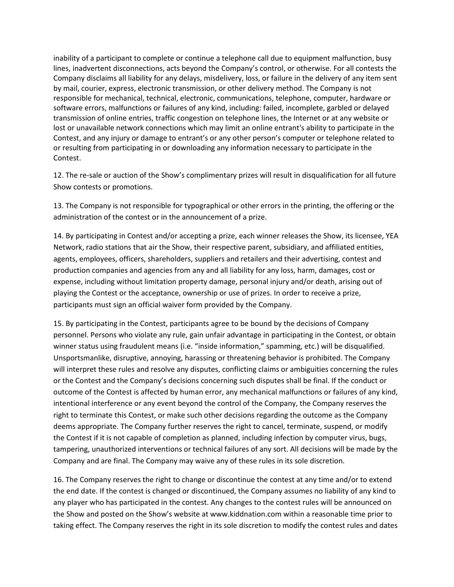inability of a participant to complete or continue a telephone call due to equipment malfunction, busy lines, inadvertent disconnections, acts beyond the Company's control, or otherwise. For all contests the Company disclaims all liability for any delays, misdelivery, loss, or failure in the delivery of any item sent by mail, courier, express, electronic transmission, or other delivery method. The Company is not responsible for mechanical, technical, electronic, communications, telephone, computer, hardware or software errors, malfunctions or failures of any kind, including: failed, incomplete, garbled or delayed transmission of online entries, traffic congestion on telephone lines, the Internet or at any website or lost or unavailable network connections which may limit an online entrant's ability to participate in the Contest, and any injury or damage to entrant's or any other person's computer or telephone related to or resulting from participating in or downloading any information necessary to participate in the Contest.

12. The re-sale or auction of the Show's complimentary prizes will result in disqualification for all future Show contests or promotions.

13. The Company is not responsible for typographical or other errors in the printing, the offering or the administration of the contest or in the announcement of a prize.

14. By participating in Contest and/or accepting a prize, each winner releases the Show, its licensee, YEA Network, radio stations that air the Show, their respective parent, subsidiary, and affiliated entities, agents, employees, officers, shareholders, suppliers and retailers and their advertising, contest and production companies and agencies from any and all liability for any loss, harm, damages, cost or expense, including without limitation property damage, personal injury and/or death, arising out of playing the Contest or the acceptance, ownership or use of prizes. In order to receive a prize, participants must sign an official waiver form provided by the Company.

15. By participating in the Contest, participants agree to be bound by the decisions of Company personnel. Persons who violate any rule, gain unfair advantage in participating in the Contest, or obtain winner status using fraudulent means (i.e. "inside information," spamming, etc.) will be disqualified. Unsportsmanlike, disruptive, annoying, harassing or threatening behavior is prohibited. The Company will interpret these rules and resolve any disputes, conflicting claims or ambiguities concerning the rules or the Contest and the Company's decisions concerning such disputes shall be final. If the conduct or outcome of the Contest is affected by human error, any mechanical malfunctions or failures of any kind, intentional interference or any event beyond the control of the Company, the Company reserves the right to terminate this Contest, or make such other decisions regarding the outcome as the Company deems appropriate. The Company further reserves the right to cancel, terminate, suspend, or modify the Contest if it is not capable of completion as planned, including infection by computer virus, bugs, tampering, unauthorized interventions or technical failures of any sort. All decisions will be made by the Company and are final. The Company may waive any of these rules in its sole discretion.

16. The Company reserves the right to change or discontinue the contest at any time and/or to extend the end date. If the contest is changed or discontinued, the Company assumes no liability of any kind to any player who has participated in the contest. Any changes to the contest rules will be announced on the Show and posted on the Show's website at www.kiddnation.com within a reasonable time prior to taking effect. The Company reserves the right in its sole discretion to modify the contest rules and dates